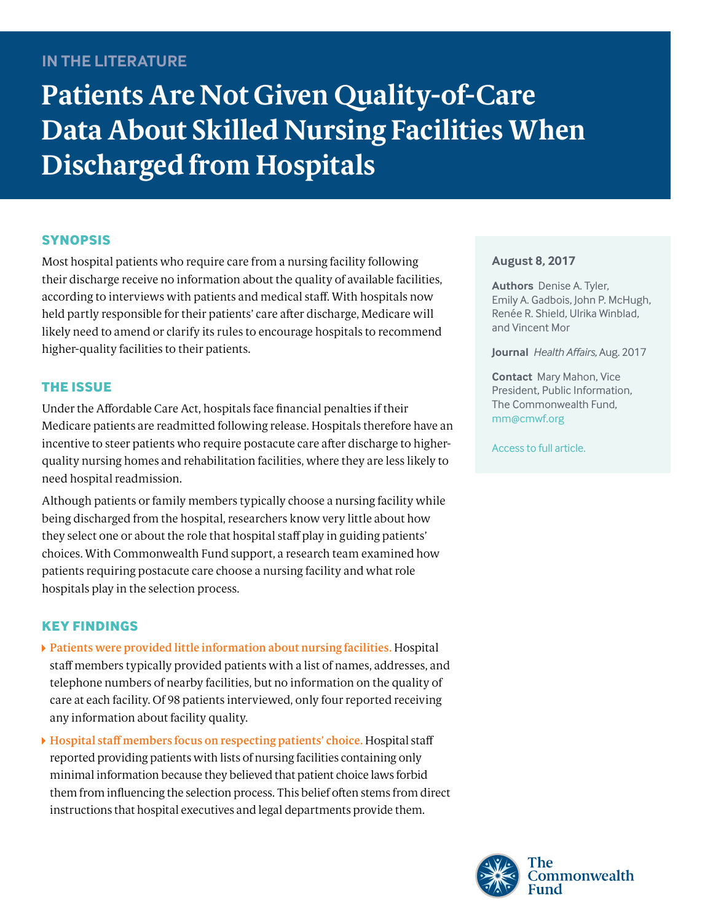## **IN THE LITERATURE**

# **Patients Are Not Given Quality-of-Care Data About Skilled Nursing Facilities When Discharged from Hospitals**

## **SYNOPSIS**

Most hospital patients who require care from a nursing facility following their discharge receive no information about the quality of available facilities, according to interviews with patients and medical staff. With hospitals now held partly responsible for their patients' care after discharge, Medicare will likely need to amend or clarify its rules to encourage hospitals to recommend higher-quality facilities to their patients.

## **THE ISSUE**

Under the Affordable Care Act, hospitals face financial penalties if their Medicare patients are readmitted following release. Hospitals therefore have an incentive to steer patients who require postacute care after discharge to higherquality nursing homes and rehabilitation facilities, where they are less likely to need hospital readmission.

Although patients or family members typically choose a nursing facility while being discharged from the hospital, researchers know very little about how they select one or about the role that hospital staff play in guiding patients' choices. With Commonwealth Fund support, a research team examined how patients requiring postacute care choose a nursing facility and what role hospitals play in the selection process.

## **KEY FINDINGS**

- **Patients were provided little information about nursing facilities.** Hospital staff members typically provided patients with a list of names, addresses, and telephone numbers of nearby facilities, but no information on the quality of care at each facility. Of 98 patients interviewed, only four reported receiving any information about facility quality.
- **Hospital staff members focus on respecting patients' choice.** Hospital staff reported providing patients with lists of nursing facilities containing only minimal information because they believed that patient choice laws forbid them from influencing the selection process. This belief often stems from direct instructions that hospital executives and legal departments provide them.

#### **August 8, 2017**

**Authors** Denise A. Tyler, Emily A. Gadbois, John P. McHugh, Renée R. Shield, Ulrika Winblad, and Vincent Mor

**Journal** *Health Affairs,* Aug. 2017

**Contact** Mary Mahon, Vice President, Public Information, The Commonwealth Fund, mm@[cmwf.org](mailto:mm%40cmwf.org?subject=)

[Access to full article.](http://content.healthaffairs.org/cgi/content/full/36/8/1385?ijkey=3QIjfr9DBJASw&keytype=ref&siteid=healthaff)